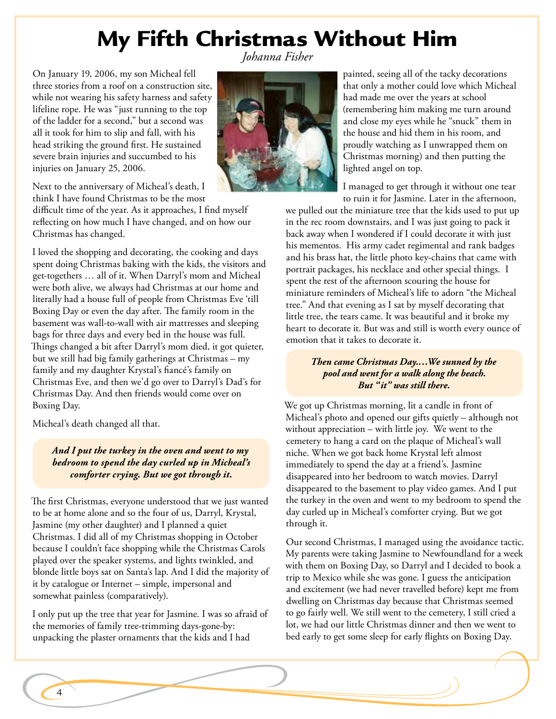## My Fifth Christmas Without Him *Johanna Fisher*

On January 19, 2006, my son Micheal fell three stories from a roof on a construction site, while not wearing his safety harness and safety lifeline rope. He was "just running to the top of the ladder for a second," but a second was all it took for him to slip and fall, with his head striking the ground first. He sustained severe brain injuries and succumbed to his injuries on January 25, 2006.



Next to the anniversary of Micheal's death, I think I have found Christmas to be the most

difficult time of the year. As it approaches, I find myself reflecting on how much I have changed, and on how our Christmas has changed.

I loved the shopping and decorating, the cooking and days spent doing Christmas baking with the kids, the visitors and get-togethers … all of it. When Darryl's mom and Micheal were both alive, we always had Christmas at our home and literally had a house full of people from Christmas Eve 'till Boxing Day or even the day after. The family room in the basement was wall-to-wall with air mattresses and sleeping bags for three days and every bed in the house was full. Things changed a bit after Darryl's mom died, it got quieter, but we still had big family gatherings at Christmas – my family and my daughter Krystal's fiancé's family on Christmas Eve, and then we'd go over to Darryl's Dad's for Christmas Day. And then friends would come over on Boxing Day.

Micheal's death changed all that.

*And I put the turkey in the oven and went to my bedroom to spend the day curled up in Micheal's comforter crying. But we got through it.*

The first Christmas, everyone understood that we just wanted to be at home alone and so the four of us, Darryl, Krystal, Jasmine (my other daughter) and I planned a quiet Christmas. I did all of my Christmas shopping in October because I couldn't face shopping while the Christmas Carols played over the speaker systems, and lights twinkled, and blonde little boys sat on Santa's lap. And I did the majority of it by catalogue or Internet – simple, impersonal and somewhat painless (comparatively).

I only put up the tree that year for Jasmine. I was so afraid of the memories of family tree-trimming days-gone-by: unpacking the plaster ornaments that the kids and I had

painted, seeing all of the tacky decorations that only a mother could love which Micheal had made me over the years at school (remembering him making me turn around and close my eyes while he "snuck" them in the house and hid them in his room, and proudly watching as I unwrapped them on Christmas morning) and then putting the lighted angel on top.

I managed to get through it without one tear to ruin it for Jasmine. Later in the afternoon,

we pulled out the miniature tree that the kids used to put up in the rec room downstairs, and I was just going to pack it back away when I wondered if I could decorate it with just his mementos. His army cadet regimental and rank badges and his brass hat, the little photo key-chains that came with portrait packages, his necklace and other special things. I spent the rest of the afternoon scouring the house for miniature reminders of Micheal's life to adorn "the Micheal tree." And that evening as I sat by myself decorating that little tree, the tears came. It was beautiful and it broke my heart to decorate it. But was and still is worth every ounce of emotion that it takes to decorate it.

## *Then came Christmas Day.…We sunned by the pool and went for a walk along the beach. But "it" was still there.*

We got up Christmas morning, lit a candle in front of Micheal's photo and opened our gifts quietly – although not without appreciation – with little joy. We went to the cemetery to hang a card on the plaque of Micheal's wall niche. When we got back home Krystal left almost immediately to spend the day at a friend's. Jasmine disappeared into her bedroom to watch movies. Darryl disappeared to the basement to play video games. And I put the turkey in the oven and went to my bedroom to spend the day curled up in Micheal's comforter crying. But we got through it.

Our second Christmas, I managed using the avoidance tactic. My parents were taking Jasmine to Newfoundland for a week with them on Boxing Day, so Darryl and I decided to book a trip to Mexico while she was gone. I guess the anticipation and excitement (we had never travelled before) kept me from dwelling on Christmas day because that Christmas seemed to go fairly well. We still went to the cemetery, I still cried a lot, we had our little Christmas dinner and then we went to bed early to get some sleep for early flights on Boxing Day.